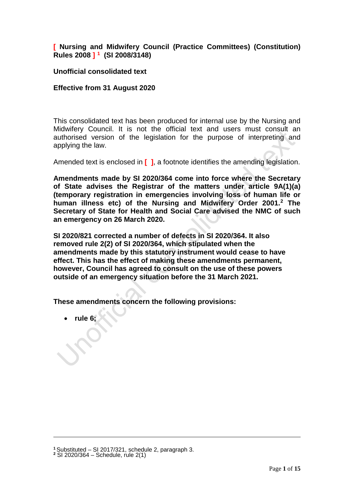# **[ Nursing and Midwifery Council (Practice Committees) (Constitution) Rules 2008 ] [1](#page-0-0) (SI 2008/3148)**

# **Unofficial consolidated text**

# **Effective from 31 August 2020**

This consolidated text has been produced for internal use by the Nursing and Midwifery Council. It is not the official text and users must consult an authorised version of the legislation for the purpose of interpreting and applying the law.

Amended text is enclosed in **[ ]**, a footnote identifies the amending legislation.

**Amendments made by SI 2020/364 come into force where the Secretary of State advises the Registrar of the matters under article 9A(1)(a) (temporary registration in emergencies involving loss of human life or human illness etc) of the Nursing and Midwifery Order 2001.[2](#page-0-1) The Secretary of State for Health and Social Care advised the NMC of such an emergency on 26 March 2020.** 

**SI 2020/821 corrected a number of defects in SI 2020/364. It also removed rule 2(2) of SI 2020/364, which stipulated when the amendments made by this statutory instrument would cease to have effect. This has the effect of making these amendments permanent, however, Council has agreed to consult on the use of these powers outside of an emergency situation before the 31 March 2021.** 

**These amendments concern the following provisions:**

• **rule 6;**

<span id="page-0-1"></span><span id="page-0-0"></span>**<sup>1</sup>** Substituted – SI 2017/321, schedule 2, paragraph 3. **<sup>2</sup>** SI 2020/364 – Schedule, rule 2(1)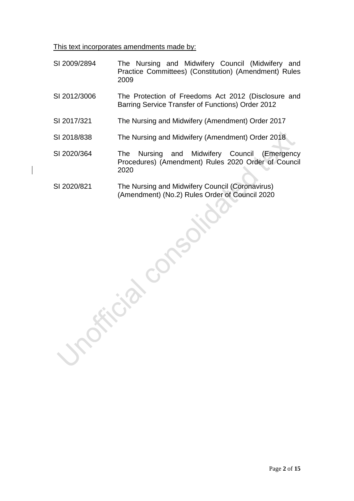This text incorporates amendments made by:

- SI 2009/2894 The Nursing and Midwifery Council (Midwifery and Practice Committees) (Constitution) (Amendment) Rules 2009
- SI 2012/3006 The Protection of Freedoms Act 2012 (Disclosure and Barring Service Transfer of Functions) Order 2012
- SI 2017/321 The Nursing and Midwifery (Amendment) Order 2017
- SI 2018/838 The Nursing and Midwifery (Amendment) Order 2018
- SI 2020/364 The Nursing and Midwifery Council (Emergency Procedures) (Amendment) Rules 2020 Order of Council 2020
- SI 2020/821 The Nursing and Midwifery Council (Coronavirus) (Amendment) (No.2) Rules Order of Council 2020

Frida Cons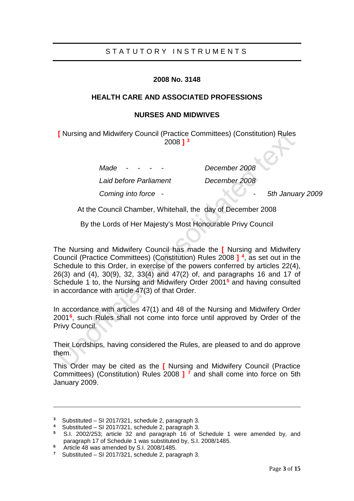# STATUTORY INSTRUMENTS

## **2008 No. 3148**

## **HEALTH CARE AND ASSOCIATED PROFESSIONS**

## **NURSES AND MIDWIVES**

**[** Nursing and Midwifery Council (Practice Committees) (Constitution) Rules 2008 **] [3](#page-2-0)**

> *Made - - - - December 2008 Laid before Parliament December 2008 Coming into force - - 5th January 2009*

At the Council Chamber, Whitehall, the day of December 2008

By the Lords of Her Majesty's Most Honourable Privy Council

The Nursing and Midwifery Council has made the **[** Nursing and Midwifery Council (Practice Committees) (Constitution) Rules 2008 **] [4](#page-2-1)**, as set out in the Schedule to this Order, in exercise of the powers conferred by articles 22(4), 26(3) and (4), 30(9), 32, 33(4) and 47(2) of, and paragraphs 16 and 17 of Schedule 1 to, the Nursing and Midwifery Order 2001**[5](#page-2-2)** and having consulted in accordance with article 47(3) of that Order.

In accordance with articles 47(1) and 48 of the Nursing and Midwifery Order 2001**[6](#page-2-3)**, such Rules shall not come into force until approved by Order of the Privy Council.

Their Lordships, having considered the Rules, are pleased to and do approve them.

This Order may be cited as the **[** Nursing and Midwifery Council (Practice Committees) (Constitution) Rules 2008 **] [7](#page-2-4)** and shall come into force on 5th January 2009.

<span id="page-2-0"></span>**<sup>3</sup>** Substituted – SI 2017/321, schedule 2, paragraph 3.

**<sup>4</sup>** Substituted – SI 2017/321, schedule 2, paragraph 3.

<span id="page-2-2"></span><span id="page-2-1"></span>**<sup>5</sup>** S.I. 2002/253; article 32 and paragraph 16 of Schedule 1 were amended by, and paragraph 17 of Schedule 1 was substituted by, S.I. 2008/1485.

<span id="page-2-3"></span>**<sup>6</sup>** Article 48 was amended by S.I. 2008/1485.

<span id="page-2-4"></span>**<sup>7</sup>** Substituted – SI 2017/321, schedule 2, paragraph 3.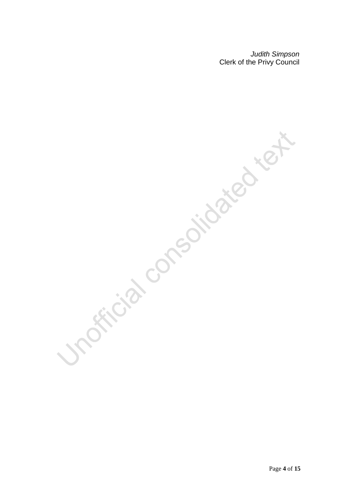*Judith Simpson* Clerk of the Privy Council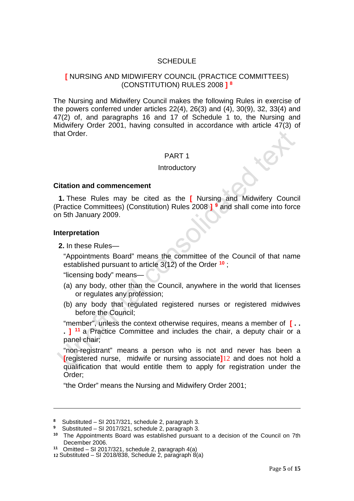# **SCHEDULE**

# **[** NURSING AND MIDWIFERY COUNCIL (PRACTICE COMMITTEES) (CONSTITUTION) RULES 2008 **] [8](#page-4-0)**

The Nursing and Midwifery Council makes the following Rules in exercise of the powers conferred under articles 22(4), 26(3) and (4), 30(9), 32, 33(4) and 47(2) of, and paragraphs 16 and 17 of Schedule 1 to, the Nursing and Midwifery Order 2001, having consulted in accordance with article 47(3) of that Order.

## PART 1

#### **Introductory**

#### **Citation and commencement**

**1.** These Rules may be cited as the **[** Nursing and Midwifery Council (Practice Committees) (Constitution) Rules 2008 **] [9](#page-4-1)** and shall come into force on 5th January 2009.

#### **Interpretation**

-

**2.** In these Rules—

"Appointments Board" means the committee of the Council of that name established pursuant to article 3(12) of the Order **[10](#page-4-2)** ;

"licensing body" means—

- (a) any body, other than the Council, anywhere in the world that licenses or regulates any profession;
- (b) any body that regulated registered nurses or registered midwives before the Council;

"member", unless the context otherwise requires, means a member of **[ . .** 

**. ] [11](#page-4-3)** a Practice Committee and includes the chair, a deputy chair or a panel chair;

"non-registrant" means a person who is not and never has been a **[**registered nurse, midwife or nursing associate**]**[12](#page-4-4) and does not hold a qualification that would entitle them to apply for registration under the Order;

"the Order" means the Nursing and Midwifery Order 2001;

<span id="page-4-0"></span>**<sup>8</sup>** Substituted – SI 2017/321, schedule 2, paragraph 3.

<span id="page-4-1"></span>**<sup>9</sup>** Substituted – SI 2017/321, schedule 2, paragraph 3.

<span id="page-4-2"></span>**<sup>10</sup>** The Appointments Board was established pursuant to a decision of the Council on 7th December 2006.

<span id="page-4-3"></span>**<sup>11</sup>** Omitted – SI 2017/321, schedule 2, paragraph 4(a)

<span id="page-4-4"></span>**<sup>12</sup>** Substituted – SI 2018/838, Schedule 2, paragraph 8(a)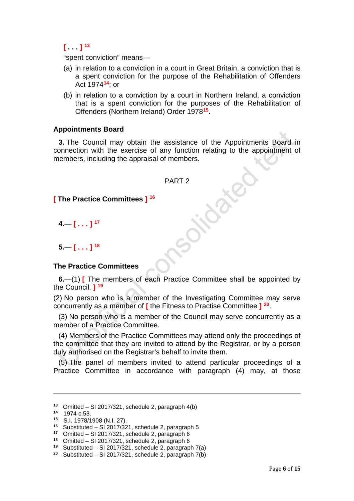$\int_0^1$   $\frac{1}{3}$ 

"spent conviction" means—

- (a) in relation to a conviction in a court in Great Britain, a conviction that is a spent conviction for the purpose of the Rehabilitation of Offenders Act 1974**[14](#page-5-1)**; or
- (b) in relation to a conviction by a court in Northern Ireland, a conviction that is a spent conviction for the purposes of the Rehabilitation of Offenders (Northern Ireland) Order 1978**[15](#page-5-2)**.

## **Appointments Board**

**3.** The Council may obtain the assistance of the Appointments Board in connection with the exercise of any function relating to the appointment of members, including the appraisal of members.

### PART 2

## **[ The Practice Committees ] [16](#page-5-3)**

**4.**— **[ . . . ] [17](#page-5-4)**

**5.**— **[ . . . ] [18](#page-5-5)**

### **The Practice Committees**

**6.**—(1) **[** The members of each Practice Committee shall be appointed by the Council. **] [19](#page-5-6)**

(2) No person who is a member of the Investigating Committee may serve concurrently as a member of **[** the Fitness to Practise Committee **] [20](#page-5-7)**.

(3) No person who is a member of the Council may serve concurrently as a member of a Practice Committee.

(4) Members of the Practice Committees may attend only the proceedings of the committee that they are invited to attend by the Registrar, or by a person duly authorised on the Registrar's behalf to invite them.

(5) The panel of members invited to attend particular proceedings of a Practice Committee in accordance with paragraph (4) may, at those

<span id="page-5-0"></span>**<sup>13</sup>** Omitted – SI 2017/321, schedule 2, paragraph 4(b)

**<sup>14</sup>** 1974 c.53.

<span id="page-5-2"></span><span id="page-5-1"></span>**<sup>15</sup>** S.I. 1978/1908 (N.I. 27).

<span id="page-5-3"></span>**<sup>16</sup>** Substituted – SI 2017/321, schedule 2, paragraph 5

<span id="page-5-4"></span>**<sup>17</sup>** Omitted – SI 2017/321, schedule 2, paragraph 6

<span id="page-5-5"></span>**<sup>18</sup>** Omitted – SI 2017/321, schedule 2, paragraph 6

<span id="page-5-6"></span>**<sup>19</sup>** Substituted – SI 2017/321, schedule 2, paragraph 7(a)

<span id="page-5-7"></span>**<sup>20</sup>** Substituted – SI 2017/321, schedule 2, paragraph 7(b)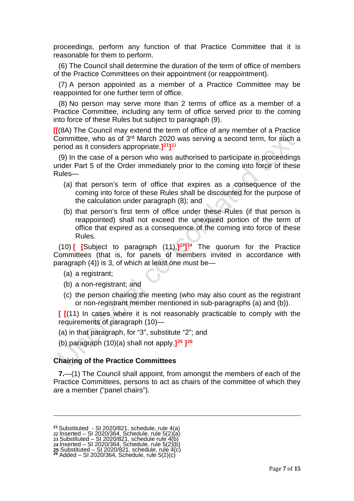proceedings, perform any function of that Practice Committee that it is reasonable for them to perform.

(6) The Council shall determine the duration of the term of office of members of the Practice Committees on their appointment (or reappointment).

(7) A person appointed as a member of a Practice Committee may be reappointed for one further term of office.

(8) No person may serve more than 2 terms of office as a member of a Practice Committee, including any term of office served prior to the coming into force of these Rules but subject to paragraph (9).

**[[**(8A) The Council may extend the term of office of any member of a Practice Committee, who as of 3rd March 2020 was serving a second term, for such a period as it considers appropriate.**][21](#page-6-0)][22](#page-6-1)**

(9) In the case of a person who was authorised to participate in proceedings under Part 5 of the Order immediately prior to the coming into force of these Rules—

- (a) that person's term of office that expires as a consequence of the coming into force of these Rules shall be discounted for the purpose of the calculation under paragraph (8); and
- (b) that person's first term of office under these Rules (if that person is reappointed) shall not exceed the unexpired portion of the term of office that expired as a consequence of the coming into force of these Rules.

(10) **[ [**Subject to paragraph (11),**][23](#page-6-2)][24](#page-6-3)** The quorum for the Practice Committees (that is, for panels of members invited in accordance with paragraph (4)) is 3, of which at least one must be—

(a) a registrant;

-

- (b) a non-registrant; and
- (c) the person chairing the meeting (who may also count as the registrant or non-registrant member mentioned in sub-paragraphs (a) and (b)).

**[ [**(11) In cases where it is not reasonably practicable to comply with the requirements of paragraph (10)—

(a) in that paragraph, for "3", substitute "2"; and

(b) paragraph (10)(a) shall not apply.**][25](#page-6-4) ][26](#page-6-5)**

### **Chairing of the Practice Committees**

**7.**—(1) The Council shall appoint, from amongst the members of each of the Practice Committees, persons to act as chairs of the committee of which they are a member ("panel chairs").

<span id="page-6-0"></span>**<sup>21</sup>** Substituted - SI 2020/821, schedule, rule 4(a)

<span id="page-6-1"></span>**<sup>22</sup>** Inserted – SI 2020/364, Schedule, rule 5(2)(a)

**<sup>23</sup>** Substituted – SI 2020/821, schedule rule 4(b)

<span id="page-6-3"></span><span id="page-6-2"></span>**<sup>24</sup>** Inserted – SI 2020/364, Schedule, rule 5(2)(b)

<span id="page-6-5"></span><span id="page-6-4"></span>**<sup>25</sup>** Substituted – SI 2020/821, schedule, rule 4(c) **<sup>26</sup>** Added – SI 2020/364, Schedule, rule 5(2)(c)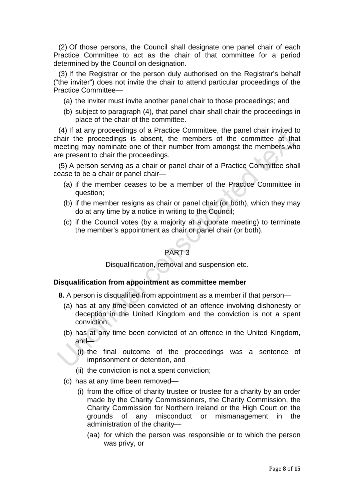(2) Of those persons, the Council shall designate one panel chair of each Practice Committee to act as the chair of that committee for a period determined by the Council on designation.

(3) If the Registrar or the person duly authorised on the Registrar's behalf ("the inviter") does not invite the chair to attend particular proceedings of the Practice Committee—

- (a) the inviter must invite another panel chair to those proceedings; and
- (b) subject to paragraph (4), that panel chair shall chair the proceedings in place of the chair of the committee.

(4) If at any proceedings of a Practice Committee, the panel chair invited to chair the proceedings is absent, the members of the committee at that meeting may nominate one of their number from amongst the members who are present to chair the proceedings.

(5) A person serving as a chair or panel chair of a Practice Committee shall cease to be a chair or panel chair—

- (a) if the member ceases to be a member of the Practice Committee in question;
- (b) if the member resigns as chair or panel chair (or both), which they may do at any time by a notice in writing to the Council;
- (c) if the Council votes (by a majority at a quorate meeting) to terminate the member's appointment as chair or panel chair (or both).

# PART 3

### Disqualification, removal and suspension etc.

### **Disqualification from appointment as committee member**

**8.** A person is disqualified from appointment as a member if that person—

- (a) has at any time been convicted of an offence involving dishonesty or deception in the United Kingdom and the conviction is not a spent conviction;
- (b) has at any time been convicted of an offence in the United Kingdom, and—
	- (i) the final outcome of the proceedings was a sentence of imprisonment or detention, and
	- (ii) the conviction is not a spent conviction;
- (c) has at any time been removed—
	- (i) from the office of charity trustee or trustee for a charity by an order made by the Charity Commissioners, the Charity Commission, the Charity Commission for Northern Ireland or the High Court on the grounds of any misconduct or mismanagement in the administration of the charity—
		- (aa) for which the person was responsible or to which the person was privy, or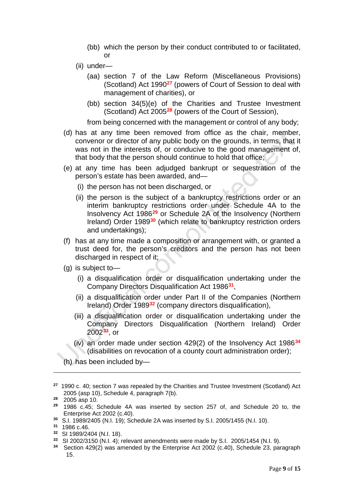- (bb) which the person by their conduct contributed to or facilitated, or
- (ii) under—
	- (aa) section 7 of the Law Reform (Miscellaneous Provisions) (Scotland) Act 1990**[27](#page-8-0)** (powers of Court of Session to deal with management of charities), or
	- (bb) section 34(5)(e) of the Charities and Trustee Investment (Scotland) Act 2005**[28](#page-8-1)** (powers of the Court of Session),

from being concerned with the management or control of any body;

- (d) has at any time been removed from office as the chair, member, convenor or director of any public body on the grounds, in terms, that it was not in the interests of, or conducive to the good management of, that body that the person should continue to hold that office;
- (e) at any time has been adjudged bankrupt or sequestration of the person's estate has been awarded, and—
	- (i) the person has not been discharged, or
	- (ii) the person is the subject of a bankruptcy restrictions order or an interim bankruptcy restrictions order under Schedule 4A to the Insolvency Act 1986**[29](#page-8-2)** or Schedule 2A of the Insolvency (Northern Ireland) Order 1989**[30](#page-8-3)** (which relate to bankruptcy restriction orders and undertakings);
- (f) has at any time made a composition or arrangement with, or granted a trust deed for, the person's creditors and the person has not been discharged in respect of it;
- (g) is subject to—
	- (i) a disqualification order or disqualification undertaking under the Company Directors Disqualification Act 1986**[31](#page-8-4)**,
	- (ii) a disqualification order under Part II of the Companies (Northern Ireland) Order 1989**[32](#page-8-5)** (company directors disqualification),
	- (iii) a disqualification order or disqualification undertaking under the Company Directors Disqualification (Northern Ireland) Order 2002**[33](#page-8-6)**, or
	- (iv) an order made under section 429(2) of the Insolvency Act 1986**[34](#page-8-7)** (disabilities on revocation of a county court administration order);
- (h) has been included by—

<span id="page-8-0"></span>**<sup>27</sup>** 1990 c. 40; section 7 was repealed by the Charities and Trustee Investment (Scotland) Act 2005 (asp 10), Schedule 4, paragraph 7(b).

<span id="page-8-1"></span>**<sup>28</sup>** 2005 asp 10.

<span id="page-8-2"></span>**<sup>29</sup>** 1986 c.45; Schedule 4A was inserted by section 257 of, and Schedule 20 to, the Enterprise Act 2002 (c.40).

<span id="page-8-3"></span>**<sup>30</sup>** S.I. 1989/2405 (N.I. 19); Schedule 2A was inserted by S.I. 2005/1455 (N.I. 10).

<span id="page-8-4"></span>**<sup>31</sup>** 1986 c.46.

<span id="page-8-5"></span>**<sup>32</sup>** SI 1989/2404 (N.I. 18).

<span id="page-8-6"></span>**<sup>33</sup>** SI 2002/3150 (N.I. 4); relevant amendments were made by S.I. 2005/1454 (N.I. 9).

<span id="page-8-7"></span>**<sup>34</sup>** Section 429(2) was amended by the Enterprise Act 2002 (c.40), Schedule 23, paragraph 15.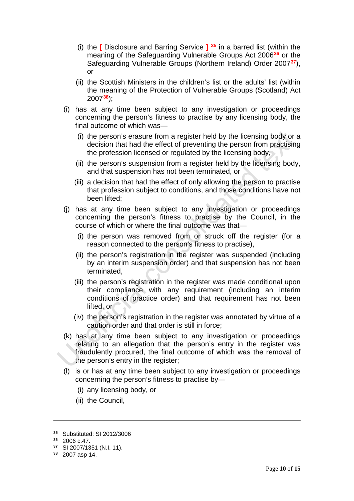- (i) the **[** Disclosure and Barring Service **] [35](#page-9-0)** in a barred list (within the meaning of the Safeguarding Vulnerable Groups Act 2006**[36](#page-9-1)** or the Safeguarding Vulnerable Groups (Northern Ireland) Order 2007**[37](#page-9-2)**), or
- (ii) the Scottish Ministers in the children's list or the adults' list (within the meaning of the Protection of Vulnerable Groups (Scotland) Act 2007**[38](#page-9-3)**);
- (i) has at any time been subject to any investigation or proceedings concerning the person's fitness to practise by any licensing body, the final outcome of which was—
	- (i) the person's erasure from a register held by the licensing body or a decision that had the effect of preventing the person from practising the profession licensed or regulated by the licensing body,
	- (ii) the person's suspension from a register held by the licensing body, and that suspension has not been terminated, or
	- (iii) a decision that had the effect of only allowing the person to practise that profession subject to conditions, and those conditions have not been lifted;
- (j) has at any time been subject to any investigation or proceedings concerning the person's fitness to practise by the Council, in the course of which or where the final outcome was that—
	- (i) the person was removed from or struck off the register (for a reason connected to the person's fitness to practise),
	- (ii) the person's registration in the register was suspended (including by an interim suspension order) and that suspension has not been terminated,
	- (iii) the person's registration in the register was made conditional upon their compliance with any requirement (including an interim conditions of practice order) and that requirement has not been lifted, or
	- (iv) the person's registration in the register was annotated by virtue of a caution order and that order is still in force;
- (k) has at any time been subject to any investigation or proceedings relating to an allegation that the person's entry in the register was fraudulently procured, the final outcome of which was the removal of the person's entry in the register;
- (l) is or has at any time been subject to any investigation or proceedings concerning the person's fitness to practise by—
	- (i) any licensing body, or
	- (ii) the Council,

<span id="page-9-0"></span><sup>&</sup>lt;sup>35</sup> Substituted: SI 2012/3006<br><sup>36</sup> 2006 c 47

<span id="page-9-2"></span><span id="page-9-1"></span>**<sup>36</sup>** 2006 c.47.

**<sup>37</sup>** SI 2007/1351 (N.I. 11).

<span id="page-9-3"></span>**<sup>38</sup>** 2007 asp 14.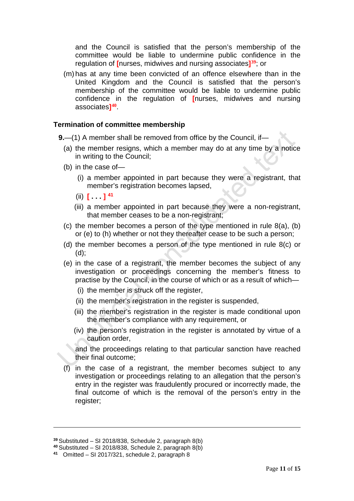and the Council is satisfied that the person's membership of the committee would be liable to undermine public confidence in the regulation of **[**nurses, midwives and nursing associates**][39](#page-10-0)**; or

(m) has at any time been convicted of an offence elsewhere than in the United Kingdom and the Council is satisfied that the person's membership of the committee would be liable to undermine public confidence in the regulation of **[**nurses, midwives and nursing associates**][40](#page-10-1)**.

## **Termination of committee membership**

**9.**—(1) A member shall be removed from office by the Council, if—

- (a) the member resigns, which a member may do at any time by a notice in writing to the Council;
- (b) in the case of—
	- (i) a member appointed in part because they were a registrant, that member's registration becomes lapsed,
	- $(i)$   $[$   $]$   $[$   $]$   $[$   $]$   $[$   $]$   $[$   $]$   $[$   $]$   $[$   $]$   $[$   $]$   $[$   $]$   $[$   $]$   $[$   $]$   $[$   $]$   $[$   $]$   $[$   $]$   $[$   $]$   $[$   $]$   $[$   $]$   $[$   $]$   $[$   $]$   $[$   $]$   $[$   $]$   $[$   $]$   $[$   $]$   $[$   $]$   $[$   $]$   $[$   $]$   $[$   $]$
	- (iii) a member appointed in part because they were a non-registrant, that member ceases to be a non-registrant;
- (c) the member becomes a person of the type mentioned in rule 8(a), (b) or (e) to (h) whether or not they thereafter cease to be such a person;
- (d) the member becomes a person of the type mentioned in rule 8(c) or (d);
- (e) in the case of a registrant, the member becomes the subject of any investigation or proceedings concerning the member's fitness to practise by the Council, in the course of which or as a result of which—
	- (i) the member is struck off the register,
	- (ii) the member's registration in the register is suspended,
	- (iii) the member's registration in the register is made conditional upon the member's compliance with any requirement, or
	- (iv) the person's registration in the register is annotated by virtue of a caution order,

and the proceedings relating to that particular sanction have reached their final outcome;

(f) in the case of a registrant, the member becomes subject to any investigation or proceedings relating to an allegation that the person's entry in the register was fraudulently procured or incorrectly made, the final outcome of which is the removal of the person's entry in the register;

<span id="page-10-0"></span>**<sup>39</sup>** Substituted – SI 2018/838, Schedule 2, paragraph 8(b)

<span id="page-10-1"></span>**<sup>40</sup>** Substituted – SI 2018/838, Schedule 2, paragraph 8(b)

<span id="page-10-2"></span>**<sup>41</sup>** Omitted – SI 2017/321, schedule 2, paragraph 8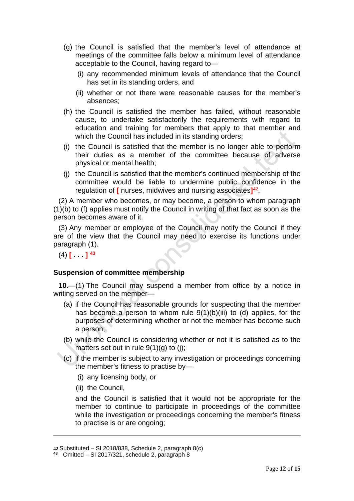- (g) the Council is satisfied that the member's level of attendance at meetings of the committee falls below a minimum level of attendance acceptable to the Council, having regard to—
	- (i) any recommended minimum levels of attendance that the Council has set in its standing orders, and
	- (ii) whether or not there were reasonable causes for the member's absences;
- (h) the Council is satisfied the member has failed, without reasonable cause, to undertake satisfactorily the requirements with regard to education and training for members that apply to that member and which the Council has included in its standing orders;
- (i) the Council is satisfied that the member is no longer able to perform their duties as a member of the committee because of adverse physical or mental health;
- (j) the Council is satisfied that the member's continued membership of the committee would be liable to undermine public confidence in the regulation of **[** nurses, midwives and nursing associates**][42](#page-11-0)**.

(2) A member who becomes, or may become, a person to whom paragraph (1)(b) to (f) applies must notify the Council in writing of that fact as soon as the person becomes aware of it.

(3) Any member or employee of the Council may notify the Council if they are of the view that the Council may need to exercise its functions under paragraph (1).

 $(4)$   $\left[$   $\right]$   $\left[$   $\right]$   $\left[$   $\right]$   $\left[$   $\right]$   $\left[$   $\right]$   $\left[$   $\right]$   $\left[$   $\right]$   $\left[$   $\right]$   $\left[$   $\right]$   $\left[$   $\right]$   $\left[$   $\right]$   $\left[$   $\right]$   $\left[$   $\right]$   $\left[$   $\right]$   $\left[$   $\right]$   $\left[$   $\right]$   $\left[$   $\right]$   $\left[$   $\right]$ 

# **Suspension of committee membership**

**10.**—(1) The Council may suspend a member from office by a notice in writing served on the member—

- (a) if the Council has reasonable grounds for suspecting that the member has become a person to whom rule  $9(1)(b)(iii)$  to (d) applies, for the purposes of determining whether or not the member has become such a person;
- (b) while the Council is considering whether or not it is satisfied as to the matters set out in rule  $9(1)(g)$  to (j);
- (c) if the member is subject to any investigation or proceedings concerning the member's fitness to practise by—
	- (i) any licensing body, or
	- (ii) the Council,

-

and the Council is satisfied that it would not be appropriate for the member to continue to participate in proceedings of the committee while the investigation or proceedings concerning the member's fitness to practise is or are ongoing;

**<sup>42</sup>** Substituted – SI 2018/838, Schedule 2, paragraph 8(c)

<span id="page-11-1"></span><span id="page-11-0"></span>**<sup>43</sup>** Omitted – SI 2017/321, schedule 2, paragraph 8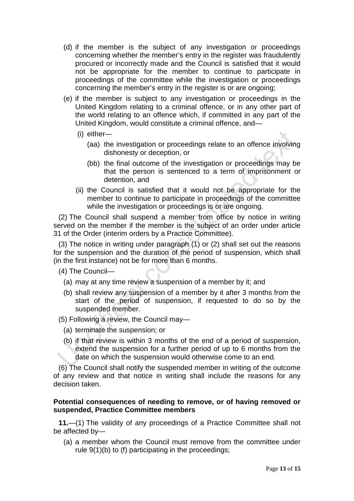- (d) if the member is the subject of any investigation or proceedings concerning whether the member's entry in the register was fraudulently procured or incorrectly made and the Council is satisfied that it would not be appropriate for the member to continue to participate in proceedings of the committee while the investigation or proceedings concerning the member's entry in the register is or are ongoing;
- (e) if the member is subject to any investigation or proceedings in the United Kingdom relating to a criminal offence, or in any other part of the world relating to an offence which, if committed in any part of the United Kingdom, would constitute a criminal offence, and—
	- (i) either—
		- (aa) the investigation or proceedings relate to an offence involving dishonesty or deception, or
		- (bb) the final outcome of the investigation or proceedings may be that the person is sentenced to a term of imprisonment or detention, and
	- (ii) the Council is satisfied that it would not be appropriate for the member to continue to participate in proceedings of the committee while the investigation or proceedings is or are ongoing.

(2) The Council shall suspend a member from office by notice in writing served on the member if the member is the subject of an order under article 31 of the Order (interim orders by a Practice Committee).

(3) The notice in writing under paragraph (1) or (2) shall set out the reasons for the suspension and the duration of the period of suspension, which shall (in the first instance) not be for more than 6 months.

(4) The Council—

- (a) may at any time review a suspension of a member by it; and
- (b) shall review any suspension of a member by it after 3 months from the start of the period of suspension, if requested to do so by the suspended member.
- (5) Following a review, the Council may—
	- (a) terminate the suspension; or
	- (b) if that review is within 3 months of the end of a period of suspension, extend the suspension for a further period of up to 6 months from the date on which the suspension would otherwise come to an end.

(6) The Council shall notify the suspended member in writing of the outcome of any review and that notice in writing shall include the reasons for any decision taken.

# **Potential consequences of needing to remove, or of having removed or suspended, Practice Committee members**

**11.**—(1) The validity of any proceedings of a Practice Committee shall not be affected by—

(a) a member whom the Council must remove from the committee under rule 9(1)(b) to (f) participating in the proceedings;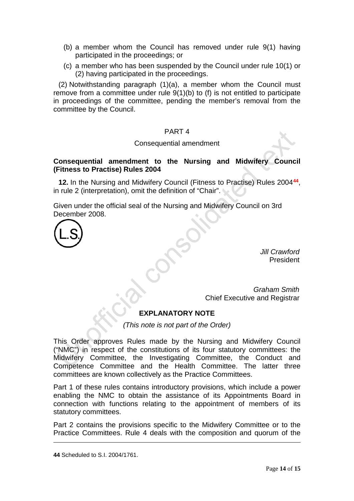- (b) a member whom the Council has removed under rule 9(1) having participated in the proceedings; or
- (c) a member who has been suspended by the Council under rule 10(1) or (2) having participated in the proceedings.

(2) Notwithstanding paragraph (1)(a), a member whom the Council must remove from a committee under rule 9(1)(b) to (f) is not entitled to participate in proceedings of the committee, pending the member's removal from the committee by the Council.

# PART 4

# Consequential amendment

# **Consequential amendment to the Nursing and Midwifery Council (Fitness to Practise) Rules 2004**

**12.** In the Nursing and Midwifery Council (Fitness to Practise) Rules 2004**[44](#page-13-0)**, in rule 2 (interpretation), omit the definition of "Chair".

Given under the official seal of the Nursing and Midwifery Council on 3rd December 2008.



*Jill Crawford* President

*Graham Smith* Chief Executive and Registrar

# **EXPLANATORY NOTE**

*(This note is not part of the Order)*

This Order approves Rules made by the Nursing and Midwifery Council ("NMC") in respect of the constitutions of its four statutory committees: the Midwifery Committee, the Investigating Committee, the Conduct and Competence Committee and the Health Committee. The latter three committees are known collectively as the Practice Committees.

Part 1 of these rules contains introductory provisions, which include a power enabling the NMC to obtain the assistance of its Appointments Board in connection with functions relating to the appointment of members of its statutory committees.

Part 2 contains the provisions specific to the Midwifery Committee or to the Practice Committees. Rule 4 deals with the composition and quorum of the

<span id="page-13-0"></span>**<sup>44</sup>** Scheduled to S.I. 2004/1761.